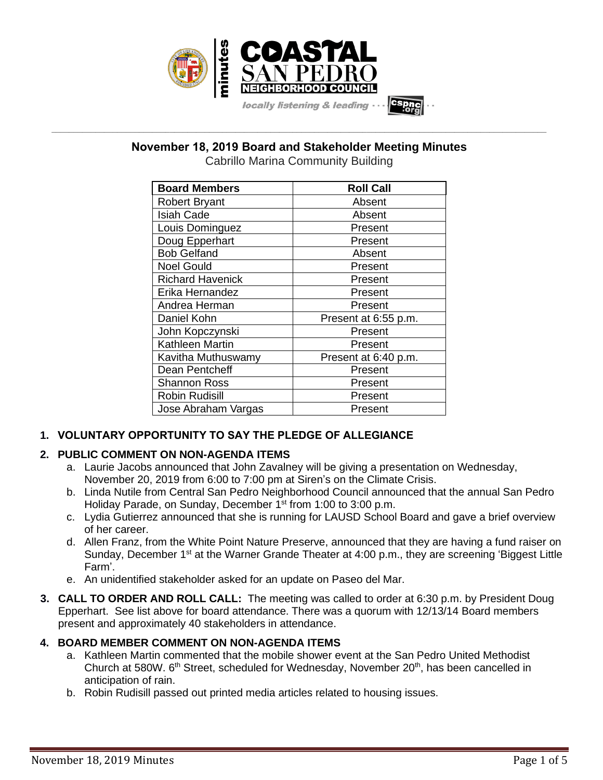

# **November 18, 2019 Board and Stakeholder Meeting Minutes**

**\_\_\_\_\_\_\_\_\_\_\_\_\_\_\_\_\_\_\_\_\_\_\_\_\_\_\_\_\_\_\_\_\_\_\_\_\_\_\_\_\_\_\_\_\_\_\_\_\_\_\_\_\_\_\_\_\_\_\_\_\_\_\_\_\_\_\_\_\_\_\_\_\_\_\_\_\_\_\_\_\_\_\_\_\_\_\_\_\_\_\_\_\_\_\_\_\_\_\_\_\_\_\_\_\_\_\_\_\_\_\_\_\_**

Cabrillo Marina Community Building

| <b>Board Members</b>    | <b>Roll Call</b>     |
|-------------------------|----------------------|
| <b>Robert Bryant</b>    | Absent               |
| <b>Isiah Cade</b>       | Absent               |
| Louis Dominguez         | Present              |
| Doug Epperhart          | Present              |
| <b>Bob Gelfand</b>      | Absent               |
| <b>Noel Gould</b>       | Present              |
| <b>Richard Havenick</b> | Present              |
| Erika Hernandez         | Present              |
| Andrea Herman           | Present              |
| Daniel Kohn             | Present at 6:55 p.m. |
| John Kopczynski         | Present              |
| Kathleen Martin         | Present              |
| Kavitha Muthuswamy      | Present at 6:40 p.m. |
| Dean Pentcheff          | Present              |
| <b>Shannon Ross</b>     | Present              |
| <b>Robin Rudisill</b>   | Present              |
| Jose Abraham Vargas     | Present              |

## **1. VOLUNTARY OPPORTUNITY TO SAY THE PLEDGE OF ALLEGIANCE**

## **2. PUBLIC COMMENT ON NON-AGENDA ITEMS**

- a. Laurie Jacobs announced that John Zavalney will be giving a presentation on Wednesday, November 20, 2019 from 6:00 to 7:00 pm at Siren's on the Climate Crisis.
- b. Linda Nutile from Central San Pedro Neighborhood Council announced that the annual San Pedro Holiday Parade, on Sunday, December 1<sup>st</sup> from 1:00 to 3:00 p.m.
- c. Lydia Gutierrez announced that she is running for LAUSD School Board and gave a brief overview of her career.
- d. Allen Franz, from the White Point Nature Preserve, announced that they are having a fund raiser on Sunday, December  $1<sup>st</sup>$  at the Warner Grande Theater at 4:00 p.m., they are screening 'Biggest Little Farm'.
- e. An unidentified stakeholder asked for an update on Paseo del Mar.
- **3. CALL TO ORDER AND ROLL CALL:** The meeting was called to order at 6:30 p.m. by President Doug Epperhart. See list above for board attendance. There was a quorum with 12/13/14 Board members present and approximately 40 stakeholders in attendance.

## **4. BOARD MEMBER COMMENT ON NON-AGENDA ITEMS**

- a. Kathleen Martin commented that the mobile shower event at the San Pedro United Methodist Church at 580W. 6<sup>th</sup> Street, scheduled for Wednesday, November 20<sup>th</sup>, has been cancelled in anticipation of rain.
- b. Robin Rudisill passed out printed media articles related to housing issues.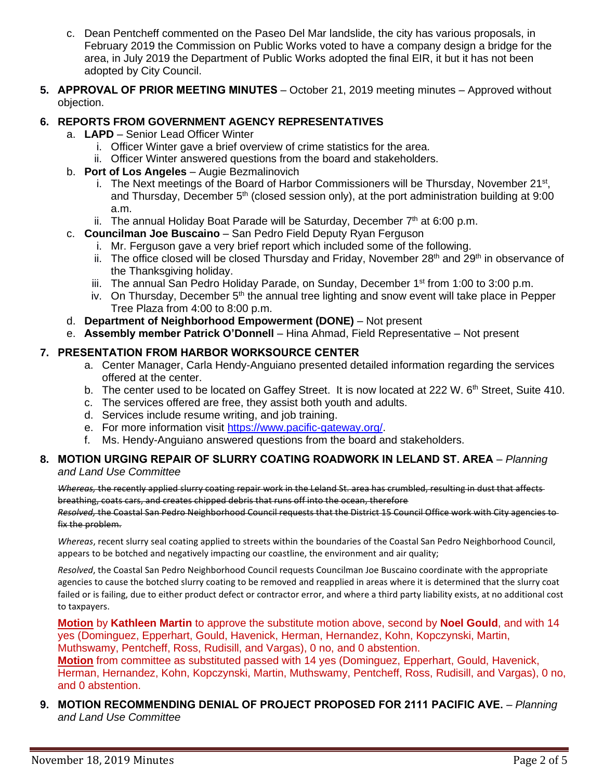- c. Dean Pentcheff commented on the Paseo Del Mar landslide, the city has various proposals, in February 2019 the Commission on Public Works voted to have a company design a bridge for the area, in July 2019 the Department of Public Works adopted the final EIR, it but it has not been adopted by City Council.
- **5. APPROVAL OF PRIOR MEETING MINUTES** October 21, 2019 meeting minutes Approved without objection.

## **6. REPORTS FROM GOVERNMENT AGENCY REPRESENTATIVES**

- a. **LAPD**  Senior Lead Officer Winter
	- i. Officer Winter gave a brief overview of crime statistics for the area.
	- ii. Officer Winter answered questions from the board and stakeholders.
- b. **Port of Los Angeles** Augie Bezmalinovich
	- i. The Next meetings of the Board of Harbor Commissioners will be Thursday, November 21<sup>st</sup>, and Thursday, December 5<sup>th</sup> (closed session only), at the port administration building at 9:00 a.m.
	- ii. The annual Holiday Boat Parade will be Saturday, December  $7<sup>th</sup>$  at 6:00 p.m.
- c. **Councilman Joe Buscaino** San Pedro Field Deputy Ryan Ferguson
	- i. Mr. Ferguson gave a very brief report which included some of the following.
	- ii. The office closed will be closed Thursday and Friday, November  $28<sup>th</sup>$  and  $29<sup>th</sup>$  in observance of the Thanksgiving holiday.
	- iii. The annual San Pedro Holiday Parade, on Sunday, December  $1<sup>st</sup>$  from 1:00 to 3:00 p.m.
	- iv. On Thursday, December  $5<sup>th</sup>$  the annual tree lighting and snow event will take place in Pepper Tree Plaza from 4:00 to 8:00 p.m.
- d. **Department of Neighborhood Empowerment (DONE)** Not present
- e. **Assembly member Patrick O'Donnell** Hina Ahmad, Field Representative Not present

### **7. PRESENTATION FROM HARBOR WORKSOURCE CENTER**

- a. Center Manager, Carla Hendy-Anguiano presented detailed information regarding the services offered at the center.
- b. The center used to be located on Gaffey Street. It is now located at 222 W. 6<sup>th</sup> Street, Suite 410.
- c. The services offered are free, they assist both youth and adults.
- d. Services include resume writing, and job training.
- e. For more information visit [https://www.pacific-gateway.org/.](https://www.pacific-gateway.org/)
- f. Ms. Hendy-Anguiano answered questions from the board and stakeholders.

### **8. MOTION URGING REPAIR OF SLURRY COATING ROADWORK IN LELAND ST. AREA** – *Planning and Land Use Committee*

*Whereas,* the recently applied slurry coating repair work in the Leland St. area has crumbled, resulting in dust that affects breathing, coats cars, and creates chipped debris that runs off into the ocean, therefore

*Resolved,* the Coastal San Pedro Neighborhood Council requests that the District 15 Council Office work with City agencies to fix the problem.

*Whereas*, recent slurry seal coating applied to streets within the boundaries of the Coastal San Pedro Neighborhood Council, appears to be botched and negatively impacting our coastline, the environment and air quality;

*Resolved*, the Coastal San Pedro Neighborhood Council requests Councilman Joe Buscaino coordinate with the appropriate agencies to cause the botched slurry coating to be removed and reapplied in areas where it is determined that the slurry coat failed or is failing, due to either product defect or contractor error, and where a third party liability exists, at no additional cost to taxpayers.

**Motion** by **Kathleen Martin** to approve the substitute motion above, second by **Noel Gould**, and with 14 yes (Dominguez, Epperhart, Gould, Havenick, Herman, Hernandez, Kohn, Kopczynski, Martin, Muthswamy, Pentcheff, Ross, Rudisill, and Vargas), 0 no, and 0 abstention.

**Motion** from committee as substituted passed with 14 yes (Dominguez, Epperhart, Gould, Havenick, Herman, Hernandez, Kohn, Kopczynski, Martin, Muthswamy, Pentcheff, Ross, Rudisill, and Vargas), 0 no, and 0 abstention.

## **9. MOTION RECOMMENDING DENIAL OF PROJECT PROPOSED FOR 2111 PACIFIC AVE.** – *Planning and Land Use Committee*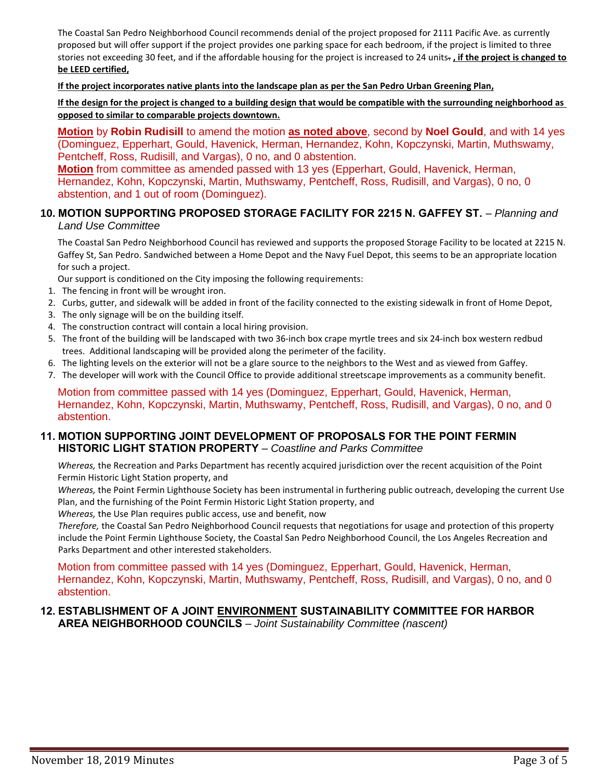The Coastal San Pedro Neighborhood Council recommends denial of the project proposed for 2111 Pacific Ave. as currently proposed but will offer support if the project provides one parking space for each bedroom, if the project is limited to three stories not exceeding 30 feet, and if the affordable housing for the project is increased to 24 units. **, if the project is changed to be LEED certified,**

**If the project incorporates native plants into the landscape plan as per the San Pedro Urban Greening Plan,**

**If the design for the project is changed to a building design that would be compatible with the surrounding neighborhood as opposed to similar to comparable projects downtown.**

**Motion** by **Robin Rudisill** to amend the motion **as noted above**, second by **Noel Gould**, and with 14 yes (Dominguez, Epperhart, Gould, Havenick, Herman, Hernandez, Kohn, Kopczynski, Martin, Muthswamy, Pentcheff, Ross, Rudisill, and Vargas), 0 no, and 0 abstention.

**Motion** from committee as amended passed with 13 yes (Epperhart, Gould, Havenick, Herman, Hernandez, Kohn, Kopczynski, Martin, Muthswamy, Pentcheff, Ross, Rudisill, and Vargas), 0 no, 0 abstention, and 1 out of room (Dominguez).

#### **10. MOTION SUPPORTING PROPOSED STORAGE FACILITY FOR 2215 N. GAFFEY ST.** – *Planning and Land Use Committee*

The Coastal San Pedro Neighborhood Council has reviewed and supports the proposed Storage Facility to be located at 2215 N. Gaffey St, San Pedro. Sandwiched between a Home Depot and the Navy Fuel Depot, this seems to be an appropriate location for such a project.

Our support is conditioned on the City imposing the following requirements:

- 1. The fencing in front will be wrought iron.
- 2. Curbs, gutter, and sidewalk will be added in front of the facility connected to the existing sidewalk in front of Home Depot,
- 3. The only signage will be on the building itself.
- 4. The construction contract will contain a local hiring provision.
- 5. The front of the building will be landscaped with two 36-inch box crape myrtle trees and six 24-inch box western redbud trees. Additional landscaping will be provided along the perimeter of the facility.
- 6. The lighting levels on the exterior will not be a glare source to the neighbors to the West and as viewed from Gaffey.
- 7. The developer will work with the Council Office to provide additional streetscape improvements as a community benefit.

Motion from committee passed with 14 yes (Dominguez, Epperhart, Gould, Havenick, Herman, Hernandez, Kohn, Kopczynski, Martin, Muthswamy, Pentcheff, Ross, Rudisill, and Vargas), 0 no, and 0 abstention.

#### **11. MOTION SUPPORTING JOINT DEVELOPMENT OF PROPOSALS FOR THE POINT FERMIN HISTORIC LIGHT STATION PROPERTY** – *Coastline and Parks Committee*

*Whereas,* the Recreation and Parks Department has recently acquired jurisdiction over the recent acquisition of the Point Fermin Historic Light Station property, and

*Whereas,* the Point Fermin Lighthouse Society has been instrumental in furthering public outreach, developing the current Use Plan, and the furnishing of the Point Fermin Historic Light Station property, and

*Whereas,* the Use Plan requires public access, use and benefit, now

*Therefore,* the Coastal San Pedro Neighborhood Council requests that negotiations for usage and protection of this property include the Point Fermin Lighthouse Society, the Coastal San Pedro Neighborhood Council, the Los Angeles Recreation and Parks Department and other interested stakeholders.

Motion from committee passed with 14 yes (Dominguez, Epperhart, Gould, Havenick, Herman, Hernandez, Kohn, Kopczynski, Martin, Muthswamy, Pentcheff, Ross, Rudisill, and Vargas), 0 no, and 0 abstention.

#### **12. ESTABLISHMENT OF A JOINT ENVIRONMENT SUSTAINABILITY COMMITTEE FOR HARBOR AREA NEIGHBORHOOD COUNCILS** – *Joint Sustainability Committee (nascent)*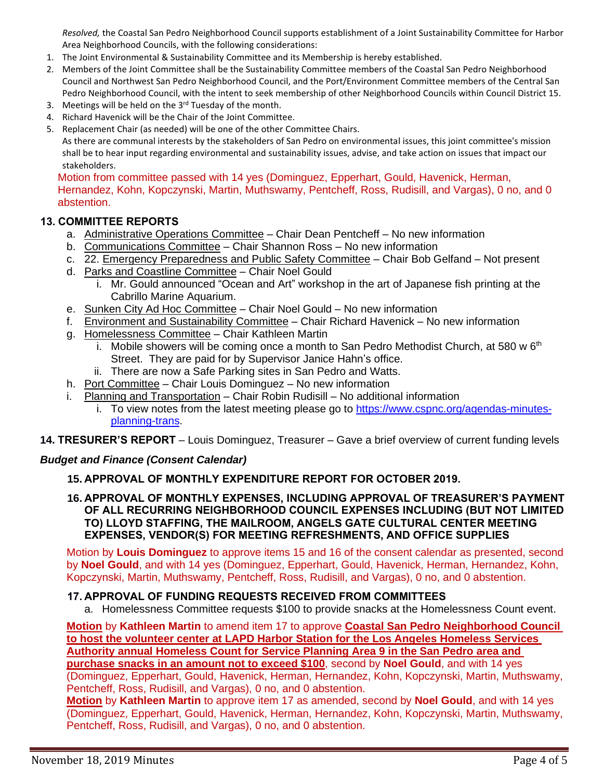*Resolved,* the Coastal San Pedro Neighborhood Council supports establishment of a Joint Sustainability Committee for Harbor Area Neighborhood Councils, with the following considerations:

- 1. The Joint Environmental & Sustainability Committee and its Membership is hereby established.
- 2. Members of the Joint Committee shall be the Sustainability Committee members of the Coastal San Pedro Neighborhood Council and Northwest San Pedro Neighborhood Council, and the Port/Environment Committee members of the Central San Pedro Neighborhood Council, with the intent to seek membership of other Neighborhood Councils within Council District 15.
- 3. Meetings will be held on the 3<sup>rd</sup> Tuesday of the month.
- 4. Richard Havenick will be the Chair of the Joint Committee.
- 5. Replacement Chair (as needed) will be one of the other Committee Chairs.

As there are communal interests by the stakeholders of San Pedro on environmental issues, this joint committee's mission shall be to hear input regarding environmental and sustainability issues, advise, and take action on issues that impact our stakeholders.

Motion from committee passed with 14 yes (Dominguez, Epperhart, Gould, Havenick, Herman, Hernandez, Kohn, Kopczynski, Martin, Muthswamy, Pentcheff, Ross, Rudisill, and Vargas), 0 no, and 0 abstention.

#### **13. COMMITTEE REPORTS**

- a. Administrative Operations Committee Chair Dean Pentcheff No new information
- b. Communications Committee Chair Shannon Ross No new information
- c. 22. Emergency Preparedness and Public Safety Committee Chair Bob Gelfand Not present
- d. Parks and Coastline Committee Chair Noel Gould
	- i. Mr. Gould announced "Ocean and Art" workshop in the art of Japanese fish printing at the Cabrillo Marine Aquarium.
- e. Sunken City Ad Hoc Committee Chair Noel Gould No new information
- f. Environment and Sustainability Committee Chair Richard Havenick No new information
- g. Homelessness Committee Chair Kathleen Martin
	- i. Mobile showers will be coming once a month to San Pedro Methodist Church, at 580 w  $6<sup>th</sup>$ Street. They are paid for by Supervisor Janice Hahn's office.
	- ii. There are now a Safe Parking sites in San Pedro and Watts.
- h. Port Committee Chair Louis Dominguez No new information
- i. Planning and Transportation Chair Robin Rudisill No additional information
	- i. To view notes from the latest meeting please go to [https://www.cspnc.org/agendas-minutes](https://www.cspnc.org/agendas-minutes-planning-trans)[planning-trans.](https://www.cspnc.org/agendas-minutes-planning-trans)
- **14. TRESURER'S REPORT** Louis Dominguez, Treasurer Gave a brief overview of current funding levels

#### *Budget and Finance (Consent Calendar)*

#### **15. APPROVAL OF MONTHLY EXPENDITURE REPORT FOR OCTOBER 2019.**

**16. APPROVAL OF MONTHLY EXPENSES, INCLUDING APPROVAL OF TREASURER'S PAYMENT OF ALL RECURRING NEIGHBORHOOD COUNCIL EXPENSES INCLUDING (BUT NOT LIMITED TO) LLOYD STAFFING, THE MAILROOM, ANGELS GATE CULTURAL CENTER MEETING EXPENSES, VENDOR(S) FOR MEETING REFRESHMENTS, AND OFFICE SUPPLIES**

Motion by **Louis Dominguez** to approve items 15 and 16 of the consent calendar as presented, second by **Noel Gould**, and with 14 yes (Dominguez, Epperhart, Gould, Havenick, Herman, Hernandez, Kohn, Kopczynski, Martin, Muthswamy, Pentcheff, Ross, Rudisill, and Vargas), 0 no, and 0 abstention.

#### **17. APPROVAL OF FUNDING REQUESTS RECEIVED FROM COMMITTEES**

a. Homelessness Committee requests \$100 to provide snacks at the Homelessness Count event.

**Motion** by **Kathleen Martin** to amend item 17 to approve **Coastal San Pedro Neighborhood Council to host the volunteer center at LAPD Harbor Station for the Los Angeles Homeless Services Authority annual Homeless Count for Service Planning Area 9 in the San Pedro area and purchase snacks in an amount not to exceed \$100**, second by **Noel Gould**, and with 14 yes

(Dominguez, Epperhart, Gould, Havenick, Herman, Hernandez, Kohn, Kopczynski, Martin, Muthswamy, Pentcheff, Ross, Rudisill, and Vargas), 0 no, and 0 abstention.

**Motion** by **Kathleen Martin** to approve item 17 as amended, second by **Noel Gould**, and with 14 yes (Dominguez, Epperhart, Gould, Havenick, Herman, Hernandez, Kohn, Kopczynski, Martin, Muthswamy, Pentcheff, Ross, Rudisill, and Vargas), 0 no, and 0 abstention.